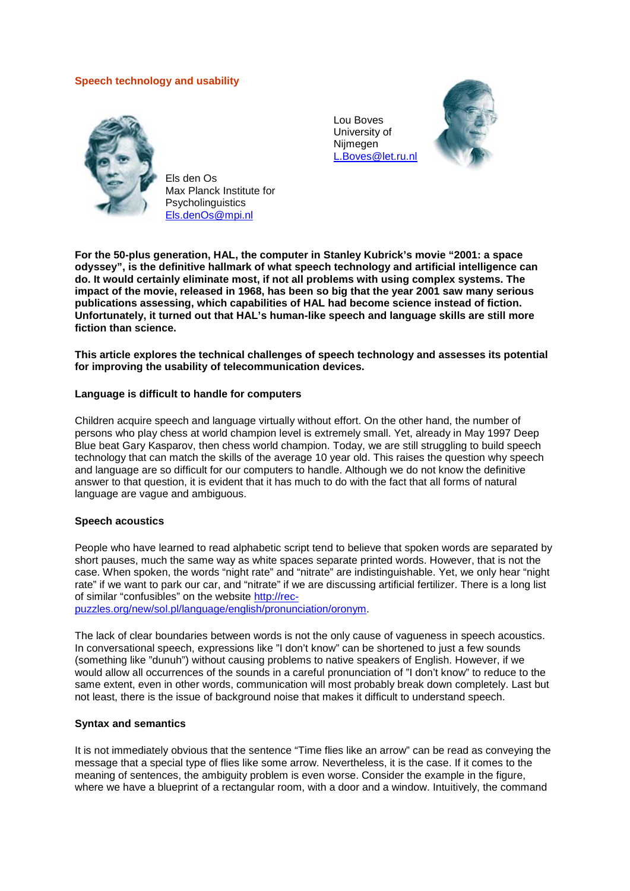## **Speech technology and usability**



Els den Os Max Planck Institute for **Psycholinguistics** [Els.denOs@mpi.nl](mailto:Els.denOs@mpi.nl)

Lou Boves University of Nijmegen [L.Boves@let.ru.nl](mailto:L.Boves@let.ru.nl)



**For the 50-plus generation, HAL, the computer in Stanley Kubrick's movie "2001: a space odyssey", is the definitive hallmark of what speech technology and artificial intelligence can do. It would certainly eliminate most, if not all problems with using complex systems. The impact of the movie, released in 1968, has been so big that the year 2001 saw many serious publications assessing, which capabilities of HAL had become science instead of fiction. Unfortunately, it turned out that HAL's human-like speech and language skills are still more fiction than science.**

**This article explores the technical challenges of speech technology and assesses its potential for improving the usability of telecommunication devices.**

### **Language is difficult to handle for computers**

Children acquire speech and language virtually without effort. On the other hand, the number of persons who play chess at world champion level is extremely small. Yet, already in May 1997 Deep Blue beat Gary Kasparov, then chess world champion. Today, we are still struggling to build speech technology that can match the skills of the average 10 year old. This raises the question why speech and language are so difficult for our computers to handle. Although we do not know the definitive answer to that question, it is evident that it has much to do with the fact that all forms of natural language are vague and ambiguous.

### **Speech acoustics**

People who have learned to read alphabetic script tend to believe that spoken words are separated by short pauses, much the same way as white spaces separate printed words. However, that is not the case. When spoken, the words "night rate" and "nitrate" are indistinguishable. Yet, we only hear "night rate" if we want to park our car, and "nitrate" if we are discussing artificial fertilizer. There is a long list of similar "confusibles" on the website [http://rec](http://rec-puzzles.org/new/sol.pl/language/english/pronunciation/oronym)[puzzles.org/new/sol.pl/language/english/pronunciation/oronym.](http://rec-puzzles.org/new/sol.pl/language/english/pronunciation/oronym)

The lack of clear boundaries between words is not the only cause of vagueness in speech acoustics.

In conversational speech, expressions like "I don't know" can be shortened to just a few sounds (something like "dunuh") without causing problems to native speakers of English. However, if we would allow all occurrences of the sounds in a careful pronunciation of "I don't know" to reduce to the same extent, even in other words, communication will most probably break down completely. Last but not least, there is the issue of background noise that makes it difficult to understand speech.

### **Syntax and semantics**

It is not immediately obvious that the sentence "Time flies like an arrow" can be read as conveying the message that a special type of flies like some arrow. Nevertheless, it is the case. If it comes to the meaning of sentences, the ambiguity problem is even worse. Consider the example in the figure, where we have a blueprint of a rectangular room, with a door and a window. Intuitively, the command